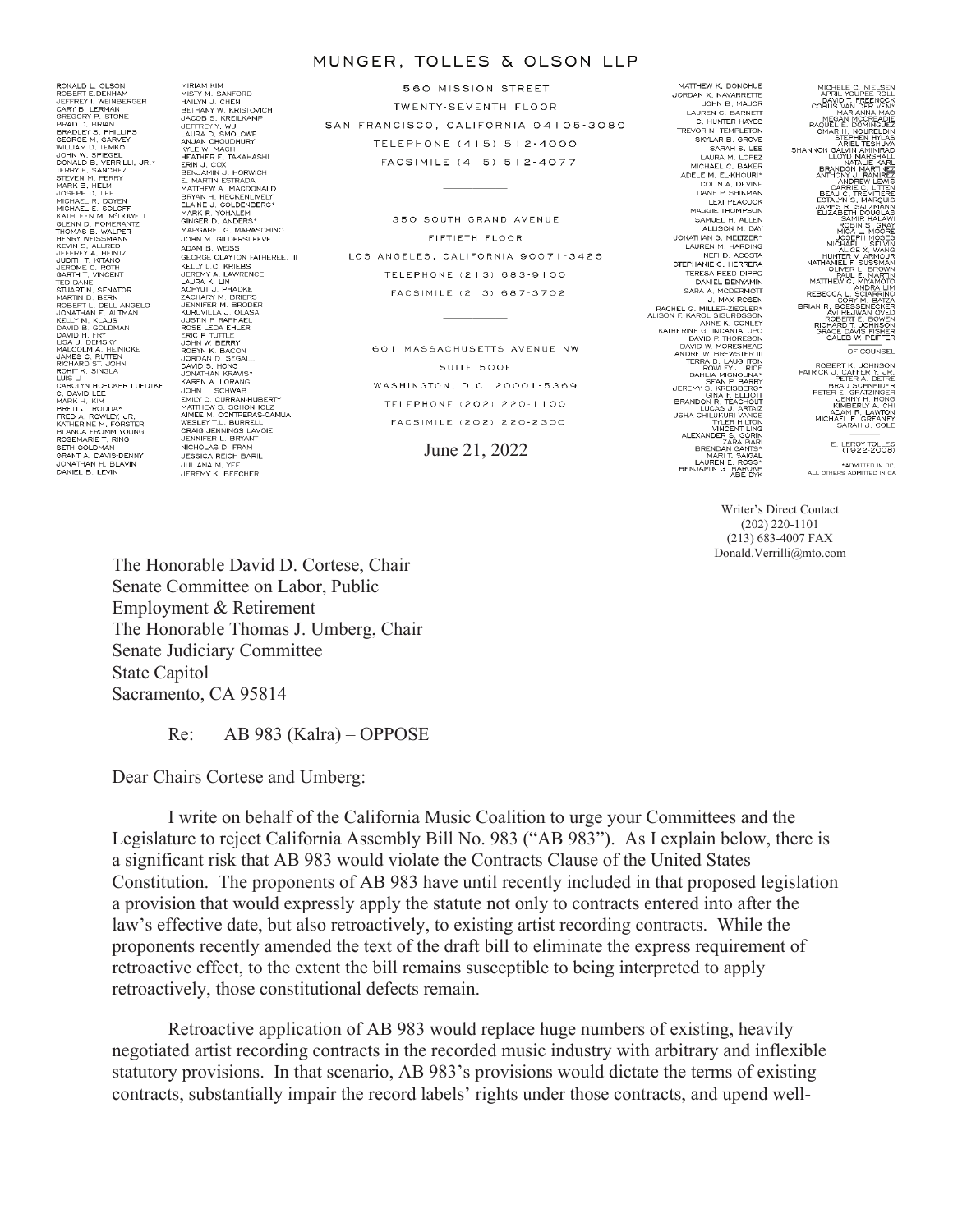#### MUNGER, TOLLES & OLSON LLP

RONALD L. OLSON<br>ROBERT E.DENHAM ROBERT E. DENHAM<br>
JEFFREY I. VEINBERGER<br>
GARY B. LERMAN<br>
BRAQDEY B. STONE<br>
BRADLEY S. PHILLIPS<br>
BRADLEY S. PHILLIPS<br>
GEORGE M. GARVEY<br>
WILLIAM D. TEMKO<br>
JOHN W. SPIEGEL JOHN W. SPIEGEL<br>TERRY E. SANCHEZ<br>TERRY E. SANCHEZ<br>STEVEN M. PERRY<br>MARK B. HELM<br>JOSEPH D. LEE<br>MICHAEL R. DOYEN<br>MICHAEL E. SOLOFF<br>KATHLEEN M. M<sup>O</sup>DOWELL<br>KATHLEEN M. MOOWELL<br>KATHLEEN M. MOOWELL KATHLEEN M. M"DOWEL<br>GENN D. POMERANTZ<br>THOMAS B. WALPER<br>HENRY WEISSMANN<br>JEFFREY A. HEINTZ<br>JUDTH T. KITANO<br>JUDTH T. KITANO<br>JUDTH T. KITANO JEROME C. ROTH<br>GARTH T. VINCENT<br>TED DANE<br>STUART N. SENATOR<br>MARTIN D. BERN STUART N, SENATOR<br>MARTIN D, BERN<br>ROBERT L, DELL ANGELO<br>JONATHAN E, ALTMAN<br>DAVID B, GOLDMAN<br>DAVID B, GOLDMAN<br>LISA J, DEMSKY<br>LISA J, DEMSKY<br>LISA J, DEMSKY<br>JAMES C, RUTTEN<br>LIS L, DEMSKY<br>ROHIT K, SINGLA<br>CAROLYN HOECKER LUEDTKE C. DAVID LEE<br>MARK H. KIM<br>BRETT J. RODDA\*<br>FRED A. ROWLEY, JR.<br>KATHERINE M. FORSTER<br>BLANCA FROMM YOUNG<br>SETH GOLDMAN<br>GERMER T. RING<br>GRANT A. DAVIS-DENNY<br>JONATHAN H. BLAVIN<br>JONATHAN H. BLAVIN<br>JONATHAN H. BLAVIN

MIRIAM KIM<br>HAILYN J. CHEN<br>HAILYN J. CHEN<br>JACOB S. KREILKAMP<br>JACOB S. KREILKAMP<br>LAURA D. SMOLOWE<br>ANJAR D. SMOLOWE<br>KYLE W. MACH<br>KYLE W. MACH<br>ERAIRER E. TAKAHASH<br>ERAIRIN J. COX<br>JENAMIN J. HORWICH<br>E. MARTIN ESTRADA<br>MITHEW A. M GINGER D. ANDERS\*<br>MARGARET G. MARASCHINO<br>JOHN M. GILDERSLEEVE<br>ADAM B. WEISS GEORGE CLAYTON FATHEREE. III KELLY L.C. KRIEBS<br>JEREMY A. LAWRENCE VERENY, A LINENCE<br>
LAURA K. LINENCE<br>
LAURA K. LINENCE<br>
JENNIFER M. BRODER<br>
JENNIFER M. BRODER<br>
JENNIFER M. BRODER<br>
JUSTIN P. RAPHAEL<br>
ROSE LEDA EHLER<br>
TROS V. BROON D. BEGONL<br>
JOAND S. HONG<br>
JOAND S. HONG<br>
JOAND S. HONG<br>
J DAVID S. HOWARY<br>
KAREN A. LORANG<br>
KAREN A. LORANG<br>
COMMITTERY S. SCHONHOLIZ<br>
MATTHEW S. SCHONHOLIZ<br>
ANNEE M. CONTRERAL<br>
CRAIG JENNINGS<br>
JESSICA REICH BARIL<br>
JENNINGS D. FRAM<br>
JESSICA REICH BARIL<br>
JENNING M. YEE<br>
JENNING M. JEREMY K. BEECHER

MIRIAM KIM

560 MISSION STREET TWENTY-SEVENTH FLOOR SAN FRANCISCO, CALIFORNIA 94105-3089 TELEPHONE (415) 512-4000 FACSIMILE (415) 512-4077

350 SOUTH GRAND AVENUE FIFTIETH FLOOR LOS ANGELES, CALIFORNIA 90071-3426 TELEPHONE (213) 683-9100 FACSIMILE (213) 687-3702

> 601 MASSACHUSETTS AVENUE NW SUITE 500E WASHINGTON, D.C. 20001-5369 TELEPHONE (202) 220-1100 FACSIMILE (202) 220-2300

> > June 21, 2022

MATTHEW K DONOHLIE MATTHEW N. DONOHUE<br>JORDAN X. NAVARRETTE LAUREN C. BARNETT C. HUNTER HAYES TREVOR N TEMPLETON VOR N. IEMPLETON<br>SKYLAR B. GROVE<br>SARAH S. LEE<br>LAURA M. LOPEZ MICHAEL C. BAKER ADELE M. EL-KHOURI\* COLIN A, DEVINE<br>DANE P, SHIKMAN DAINE F. SHINMAN<br>LEXI PEACOCK<br>MAGGIE THOMPSON SAMUEL H. ALLEN ALLISON M. DAY JONATHAN S. MELTZER\*<br>LAUREN M. HARDING<br>NEFI D. ACOSTA<br>STEPHANIE G. HERRERA **TERESA REED DIPPO** DANIEL BENYAMIN<br>
SARA A MODERMOTT<br>
RACHE LO MILLER-ZIGLERY<br>
RACHE LO MILLER-ZIGLERY<br>
AND PE NAROL SIGURDSSON<br>
NATHERINE G. INCANTALUPO<br>
DAVID IV MORESHEAD<br>
AND DANIELY J. RICE<br>
TRANGER IN THE MERING THE MALLER<br>
TRANGER IN DANIEL BENYAMIN BRAINDON'R TEACHTON<br>USHA CHILLIAN RIVER<br>USHA CHILLIAN VINCENT<br>ALEXANDER S. ARTAIZ<br>ALEXANDER S. GORIN<br>ALEXANDER S. GORIN<br>BRENDAN GANTS<br>MARIT SANGAL<br>MARIT SANGAL<br>LAUREN E. ROSS<br>BENJAMIN G. BAROKH



Writer's Direct Contact (202) 220-1101 (213) 683-4007 FAX Donald.Verrilli@mto.com

The Honorable David D. Cortese, Chair Senate Committee on Labor, Public Employment & Retirement The Honorable Thomas J. Umberg, Chair Senate Judiciary Committee State Capitol Sacramento, CA 95814

Re: AB 983 (Kalra) – OPPOSE

Dear Chairs Cortese and Umberg:

I write on behalf of the California Music Coalition to urge your Committees and the Legislature to reject California Assembly Bill No. 983 ("AB 983"). As I explain below, there is a significant risk that AB 983 would violate the Contracts Clause of the United States Constitution. The proponents of AB 983 have until recently included in that proposed legislation a provision that would expressly apply the statute not only to contracts entered into after the law's effective date, but also retroactively, to existing artist recording contracts. While the proponents recently amended the text of the draft bill to eliminate the express requirement of retroactive effect, to the extent the bill remains susceptible to being interpreted to apply retroactively, those constitutional defects remain.

Retroactive application of AB 983 would replace huge numbers of existing, heavily negotiated artist recording contracts in the recorded music industry with arbitrary and inflexible statutory provisions. In that scenario, AB 983's provisions would dictate the terms of existing contracts, substantially impair the record labels' rights under those contracts, and upend well-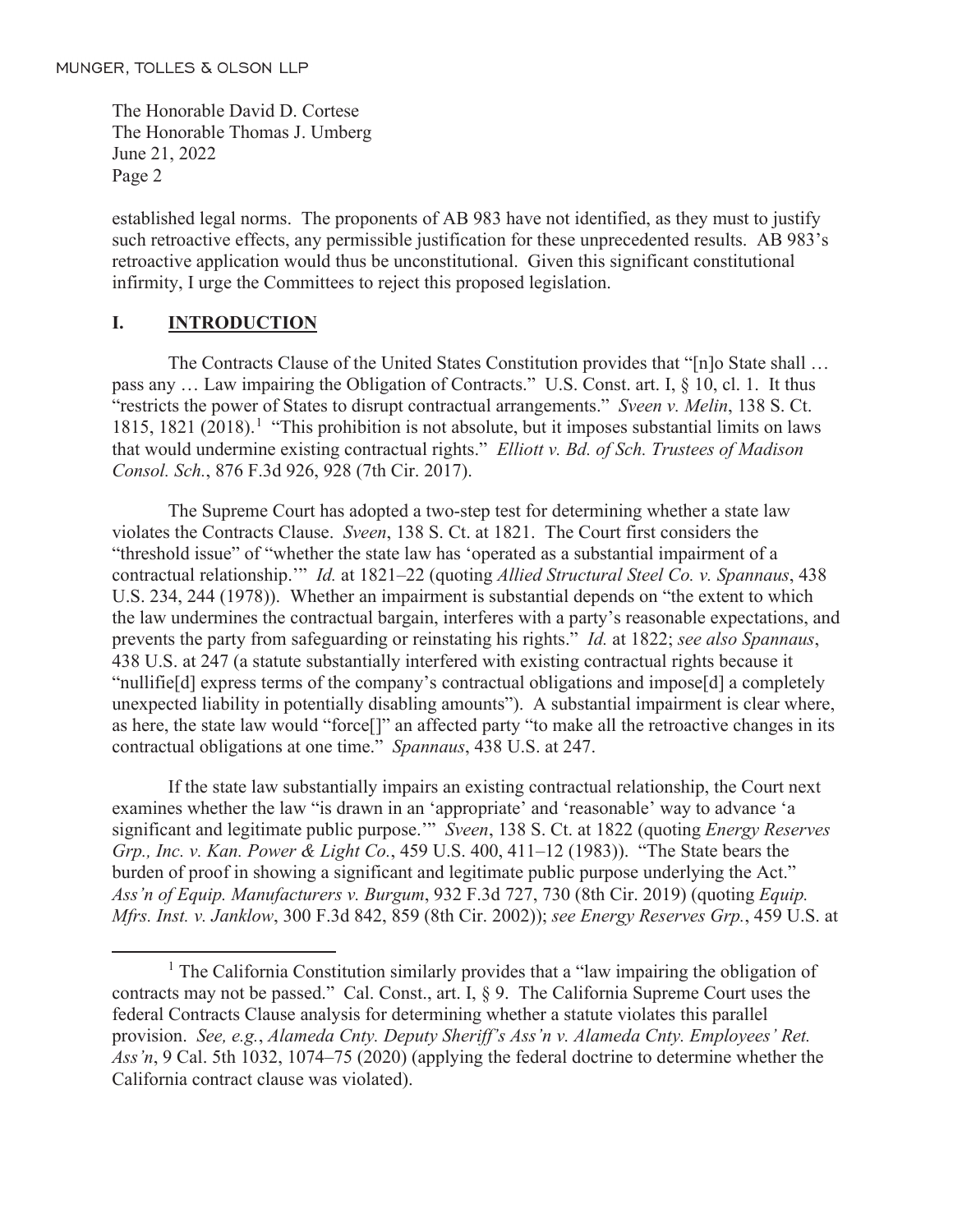established legal norms. The proponents of AB 983 have not identified, as they must to justify such retroactive effects, any permissible justification for these unprecedented results. AB 983's retroactive application would thus be unconstitutional. Given this significant constitutional infirmity, I urge the Committees to reject this proposed legislation.

# **I. INTRODUCTION**

The Contracts Clause of the United States Constitution provides that "[n]o State shall ... pass any … Law impairing the Obligation of Contracts." U.S. Const. art. I, § 10, cl. 1. It thus "restricts the power of States to disrupt contractual arrangements." *Sveen v. Melin*, 138 S. Ct. 1815, 1821 (2018).<sup>1</sup> "This prohibition is not absolute, but it imposes substantial limits on laws that would undermine existing contractual rights." *Elliott v. Bd. of Sch. Trustees of Madison Consol. Sch.*, 876 F.3d 926, 928 (7th Cir. 2017).

The Supreme Court has adopted a two-step test for determining whether a state law violates the Contracts Clause. *Sveen*, 138 S. Ct. at 1821. The Court first considers the "threshold issue" of "whether the state law has 'operated as a substantial impairment of a contractual relationship.'" *Id.* at 1821–22 (quoting *Allied Structural Steel Co. v. Spannaus*, 438 U.S. 234, 244 (1978)). Whether an impairment is substantial depends on "the extent to which the law undermines the contractual bargain, interferes with a party's reasonable expectations, and prevents the party from safeguarding or reinstating his rights." *Id.* at 1822; *see also Spannaus*, 438 U.S. at 247 (a statute substantially interfered with existing contractual rights because it "nullifie[d] express terms of the company's contractual obligations and impose[d] a completely unexpected liability in potentially disabling amounts"). A substantial impairment is clear where, as here, the state law would "force[]" an affected party "to make all the retroactive changes in its contractual obligations at one time." *Spannaus*, 438 U.S. at 247.

If the state law substantially impairs an existing contractual relationship, the Court next examines whether the law "is drawn in an 'appropriate' and 'reasonable' way to advance 'a significant and legitimate public purpose.'" *Sveen*, 138 S. Ct. at 1822 (quoting *Energy Reserves Grp., Inc. v. Kan. Power & Light Co.*, 459 U.S. 400, 411–12 (1983)). "The State bears the burden of proof in showing a significant and legitimate public purpose underlying the Act." *Ass'n of Equip. Manufacturers v. Burgum*, 932 F.3d 727, 730 (8th Cir. 2019) (quoting *Equip. Mfrs. Inst. v. Janklow*, 300 F.3d 842, 859 (8th Cir. 2002)); *see Energy Reserves Grp.*, 459 U.S. at

<sup>&</sup>lt;sup>1</sup> The California Constitution similarly provides that a "law impairing the obligation of contracts may not be passed." Cal. Const., art. I, § 9. The California Supreme Court uses the federal Contracts Clause analysis for determining whether a statute violates this parallel provision. *See, e.g.*, *Alameda Cnty. Deputy Sheriff's Ass'n v. Alameda Cnty. Employees' Ret. Ass'n*, 9 Cal. 5th 1032, 1074–75 (2020) (applying the federal doctrine to determine whether the California contract clause was violated).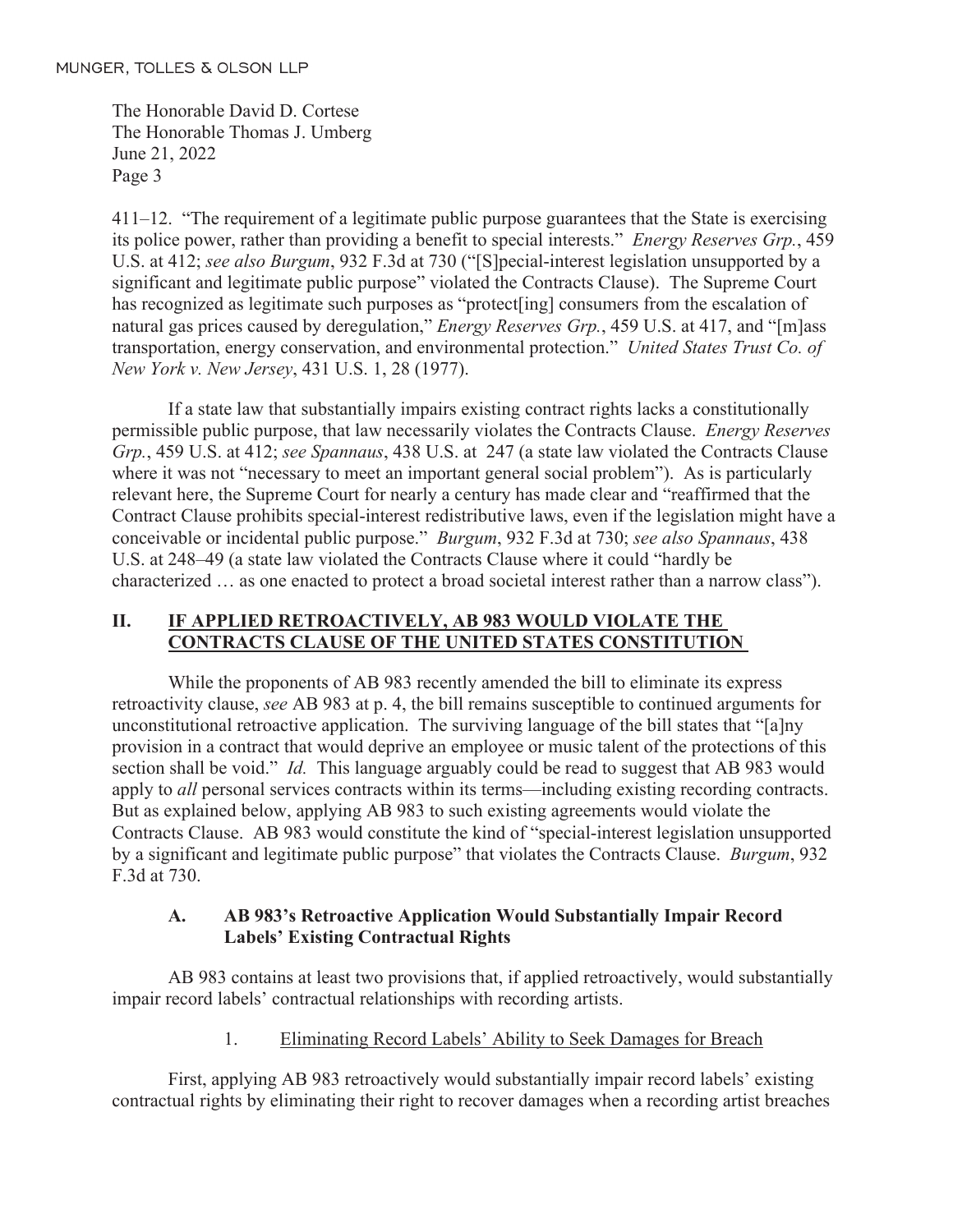411–12. "The requirement of a legitimate public purpose guarantees that the State is exercising its police power, rather than providing a benefit to special interests." *Energy Reserves Grp.*, 459 U.S. at 412; *see also Burgum*, 932 F.3d at 730 ("[S]pecial-interest legislation unsupported by a significant and legitimate public purpose" violated the Contracts Clause). The Supreme Court has recognized as legitimate such purposes as "protect[ing] consumers from the escalation of natural gas prices caused by deregulation," *Energy Reserves Grp.*, 459 U.S. at 417, and "[m]ass transportation, energy conservation, and environmental protection." *United States Trust Co. of New York v. New Jersey*, 431 U.S. 1, 28 (1977).

If a state law that substantially impairs existing contract rights lacks a constitutionally permissible public purpose, that law necessarily violates the Contracts Clause. *Energy Reserves Grp.*, 459 U.S. at 412; *see Spannaus*, 438 U.S. at 247 (a state law violated the Contracts Clause where it was not "necessary to meet an important general social problem"). As is particularly relevant here, the Supreme Court for nearly a century has made clear and "reaffirmed that the Contract Clause prohibits special-interest redistributive laws, even if the legislation might have a conceivable or incidental public purpose." *Burgum*, 932 F.3d at 730; *see also Spannaus*, 438 U.S. at 248–49 (a state law violated the Contracts Clause where it could "hardly be characterized … as one enacted to protect a broad societal interest rather than a narrow class").

## **II. IF APPLIED RETROACTIVELY, AB 983 WOULD VIOLATE THE CONTRACTS CLAUSE OF THE UNITED STATES CONSTITUTION**

While the proponents of AB 983 recently amended the bill to eliminate its express retroactivity clause, *see* AB 983 at p. 4, the bill remains susceptible to continued arguments for unconstitutional retroactive application. The surviving language of the bill states that "[a]ny provision in a contract that would deprive an employee or music talent of the protections of this section shall be void." *Id.* This language arguably could be read to suggest that AB 983 would apply to *all* personal services contracts within its terms—including existing recording contracts. But as explained below, applying AB 983 to such existing agreements would violate the Contracts Clause. AB 983 would constitute the kind of "special-interest legislation unsupported by a significant and legitimate public purpose" that violates the Contracts Clause. *Burgum*, 932 F.3d at 730.

## **A. AB 983's Retroactive Application Would Substantially Impair Record Labels' Existing Contractual Rights**

AB 983 contains at least two provisions that, if applied retroactively, would substantially impair record labels' contractual relationships with recording artists.

## 1. Eliminating Record Labels' Ability to Seek Damages for Breach

First, applying AB 983 retroactively would substantially impair record labels' existing contractual rights by eliminating their right to recover damages when a recording artist breaches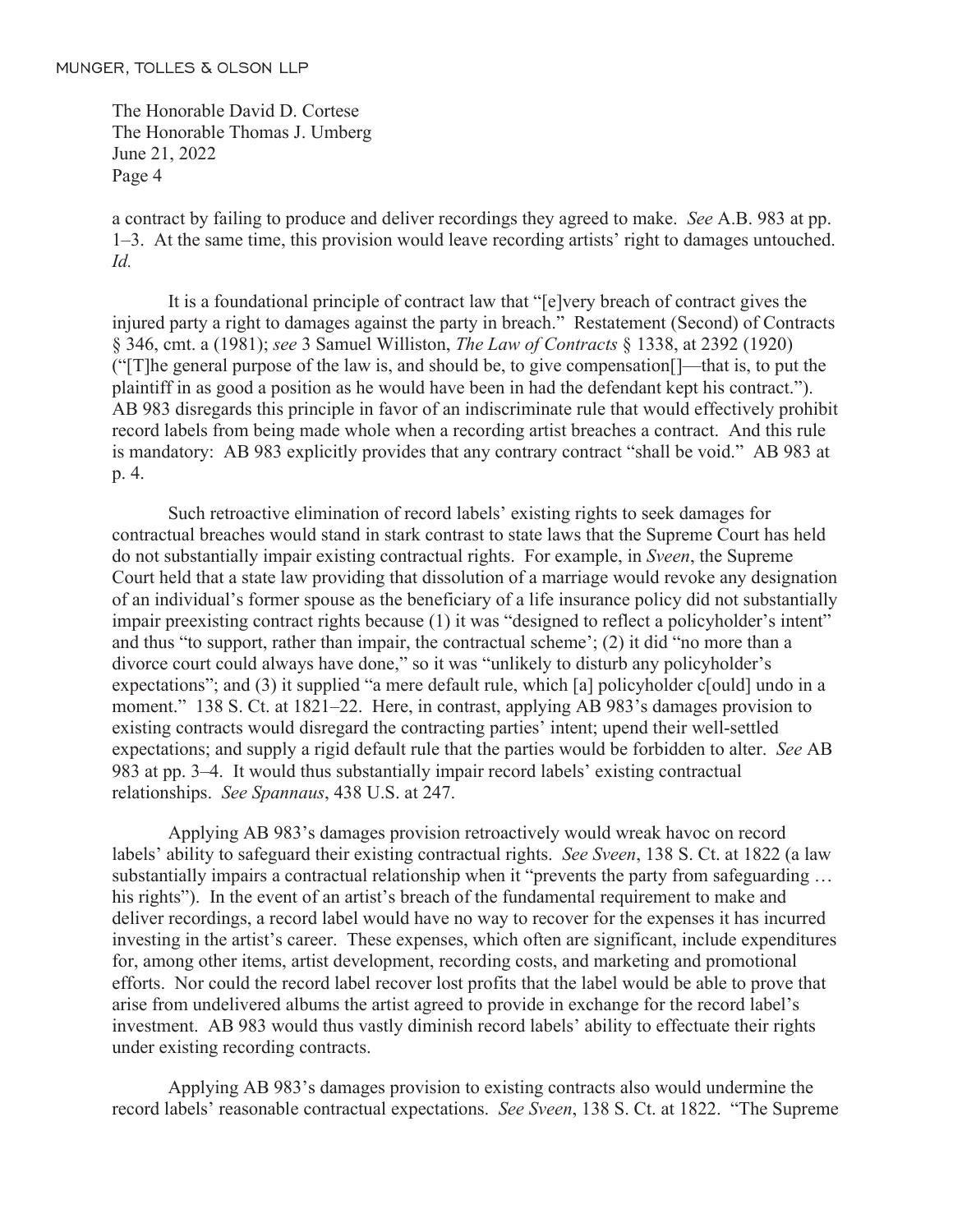a contract by failing to produce and deliver recordings they agreed to make. *See* A.B. 983 at pp. 1–3. At the same time, this provision would leave recording artists' right to damages untouched. *Id.* 

It is a foundational principle of contract law that "[e]very breach of contract gives the injured party a right to damages against the party in breach." Restatement (Second) of Contracts § 346, cmt. a (1981); *see* 3 Samuel Williston, *The Law of Contracts* § 1338, at 2392 (1920) ("[T]he general purpose of the law is, and should be, to give compensation[]—that is, to put the plaintiff in as good a position as he would have been in had the defendant kept his contract."). AB 983 disregards this principle in favor of an indiscriminate rule that would effectively prohibit record labels from being made whole when a recording artist breaches a contract. And this rule is mandatory: AB 983 explicitly provides that any contrary contract "shall be void." AB 983 at p. 4.

Such retroactive elimination of record labels' existing rights to seek damages for contractual breaches would stand in stark contrast to state laws that the Supreme Court has held do not substantially impair existing contractual rights. For example, in *Sveen*, the Supreme Court held that a state law providing that dissolution of a marriage would revoke any designation of an individual's former spouse as the beneficiary of a life insurance policy did not substantially impair preexisting contract rights because (1) it was "designed to reflect a policyholder's intent" and thus "to support, rather than impair, the contractual scheme'; (2) it did "no more than a divorce court could always have done," so it was "unlikely to disturb any policyholder's expectations"; and (3) it supplied "a mere default rule, which [a] policyholder c[ould] undo in a moment." 138 S. Ct. at 1821–22. Here, in contrast, applying AB 983's damages provision to existing contracts would disregard the contracting parties' intent; upend their well-settled expectations; and supply a rigid default rule that the parties would be forbidden to alter. *See* AB 983 at pp. 3–4. It would thus substantially impair record labels' existing contractual relationships. *See Spannaus*, 438 U.S. at 247.

Applying AB 983's damages provision retroactively would wreak havoc on record labels' ability to safeguard their existing contractual rights. *See Sveen*, 138 S. Ct. at 1822 (a law substantially impairs a contractual relationship when it "prevents the party from safeguarding ... his rights"). In the event of an artist's breach of the fundamental requirement to make and deliver recordings, a record label would have no way to recover for the expenses it has incurred investing in the artist's career. These expenses, which often are significant, include expenditures for, among other items, artist development, recording costs, and marketing and promotional efforts. Nor could the record label recover lost profits that the label would be able to prove that arise from undelivered albums the artist agreed to provide in exchange for the record label's investment. AB 983 would thus vastly diminish record labels' ability to effectuate their rights under existing recording contracts.

Applying AB 983's damages provision to existing contracts also would undermine the record labels' reasonable contractual expectations. *See Sveen*, 138 S. Ct. at 1822. "The Supreme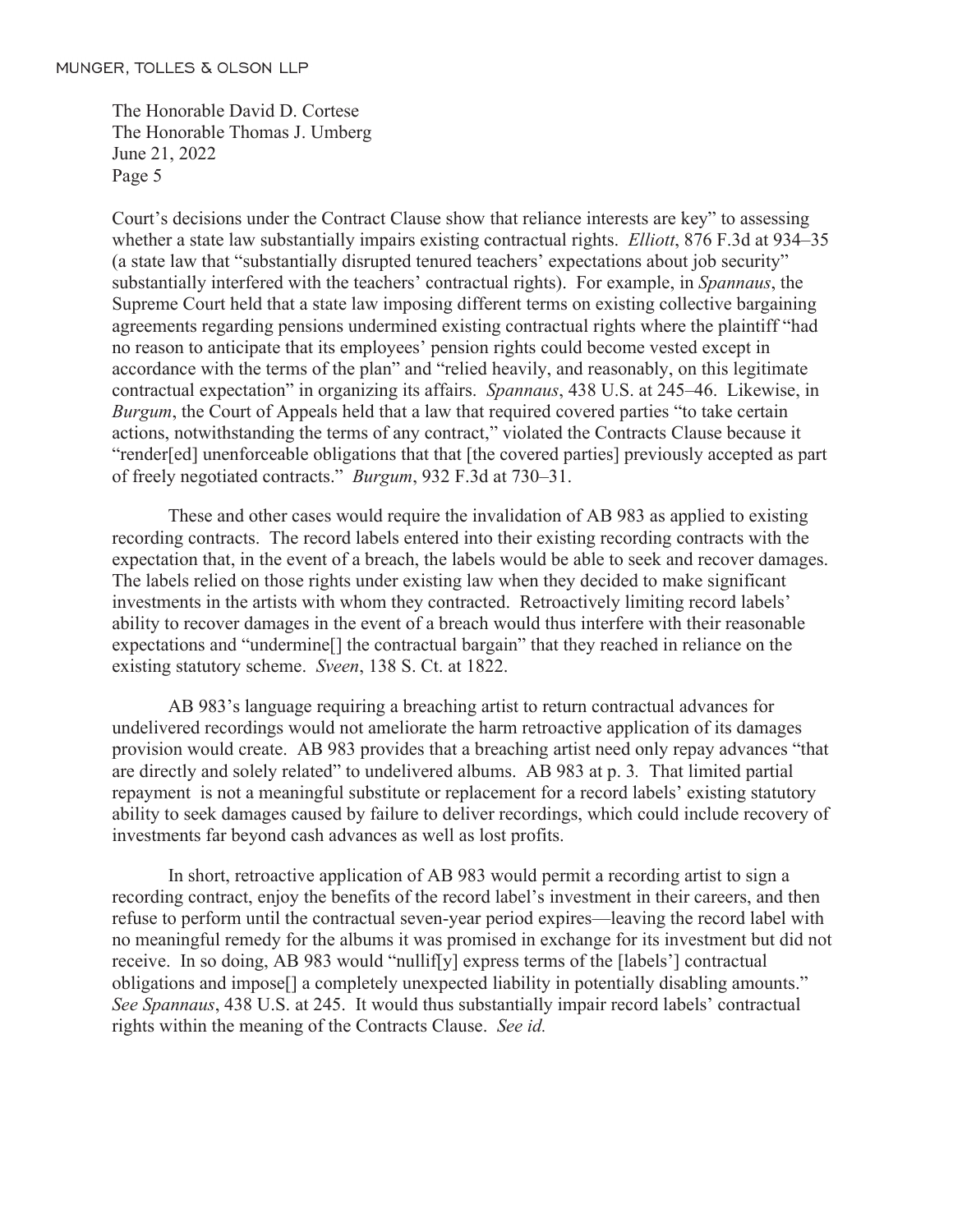Court's decisions under the Contract Clause show that reliance interests are key" to assessing whether a state law substantially impairs existing contractual rights. *Elliott*, 876 F.3d at 934–35 (a state law that "substantially disrupted tenured teachers' expectations about job security" substantially interfered with the teachers' contractual rights). For example, in *Spannaus*, the Supreme Court held that a state law imposing different terms on existing collective bargaining agreements regarding pensions undermined existing contractual rights where the plaintiff "had no reason to anticipate that its employees' pension rights could become vested except in accordance with the terms of the plan" and "relied heavily, and reasonably, on this legitimate contractual expectation" in organizing its affairs. *Spannaus*, 438 U.S. at 245–46. Likewise, in *Burgum*, the Court of Appeals held that a law that required covered parties "to take certain actions, notwithstanding the terms of any contract," violated the Contracts Clause because it "render[ed] unenforceable obligations that that [the covered parties] previously accepted as part of freely negotiated contracts." *Burgum*, 932 F.3d at 730–31.

These and other cases would require the invalidation of AB 983 as applied to existing recording contracts. The record labels entered into their existing recording contracts with the expectation that, in the event of a breach, the labels would be able to seek and recover damages. The labels relied on those rights under existing law when they decided to make significant investments in the artists with whom they contracted. Retroactively limiting record labels' ability to recover damages in the event of a breach would thus interfere with their reasonable expectations and "undermine[] the contractual bargain" that they reached in reliance on the existing statutory scheme. *Sveen*, 138 S. Ct. at 1822.

AB 983's language requiring a breaching artist to return contractual advances for undelivered recordings would not ameliorate the harm retroactive application of its damages provision would create. AB 983 provides that a breaching artist need only repay advances "that are directly and solely related" to undelivered albums. AB 983 at p. 3*.* That limited partial repayment is not a meaningful substitute or replacement for a record labels' existing statutory ability to seek damages caused by failure to deliver recordings, which could include recovery of investments far beyond cash advances as well as lost profits.

In short, retroactive application of AB 983 would permit a recording artist to sign a recording contract, enjoy the benefits of the record label's investment in their careers, and then refuse to perform until the contractual seven-year period expires—leaving the record label with no meaningful remedy for the albums it was promised in exchange for its investment but did not receive. In so doing, AB 983 would "nullif[y] express terms of the [labels'] contractual obligations and impose[] a completely unexpected liability in potentially disabling amounts." *See Spannaus*, 438 U.S. at 245. It would thus substantially impair record labels' contractual rights within the meaning of the Contracts Clause. *See id.*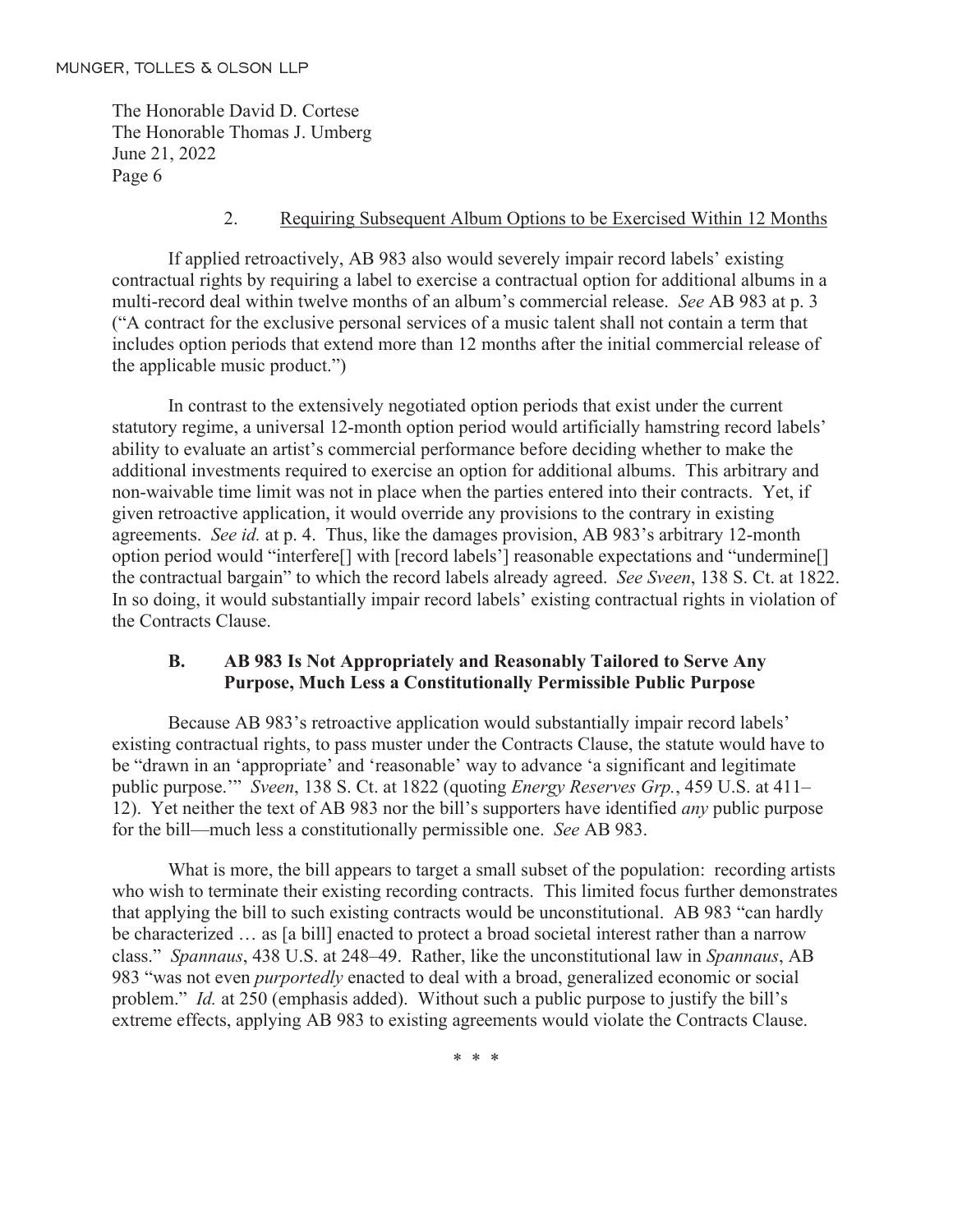#### 2. Requiring Subsequent Album Options to be Exercised Within 12 Months

If applied retroactively, AB 983 also would severely impair record labels' existing contractual rights by requiring a label to exercise a contractual option for additional albums in a multi-record deal within twelve months of an album's commercial release. *See* AB 983 at p. 3 ("A contract for the exclusive personal services of a music talent shall not contain a term that includes option periods that extend more than 12 months after the initial commercial release of the applicable music product.")

In contrast to the extensively negotiated option periods that exist under the current statutory regime, a universal 12-month option period would artificially hamstring record labels' ability to evaluate an artist's commercial performance before deciding whether to make the additional investments required to exercise an option for additional albums. This arbitrary and non-waivable time limit was not in place when the parties entered into their contracts. Yet, if given retroactive application, it would override any provisions to the contrary in existing agreements. *See id.* at p. 4. Thus, like the damages provision, AB 983's arbitrary 12-month option period would "interfere[] with [record labels'] reasonable expectations and "undermine[] the contractual bargain" to which the record labels already agreed. *See Sveen*, 138 S. Ct. at 1822. In so doing, it would substantially impair record labels' existing contractual rights in violation of the Contracts Clause.

#### **B. AB 983 Is Not Appropriately and Reasonably Tailored to Serve Any Purpose, Much Less a Constitutionally Permissible Public Purpose**

Because AB 983's retroactive application would substantially impair record labels' existing contractual rights, to pass muster under the Contracts Clause, the statute would have to be "drawn in an 'appropriate' and 'reasonable' way to advance 'a significant and legitimate public purpose.'" *Sveen*, 138 S. Ct. at 1822 (quoting *Energy Reserves Grp.*, 459 U.S. at 411– 12). Yet neither the text of AB 983 nor the bill's supporters have identified *any* public purpose for the bill—much less a constitutionally permissible one. *See* AB 983.

What is more, the bill appears to target a small subset of the population: recording artists who wish to terminate their existing recording contracts. This limited focus further demonstrates that applying the bill to such existing contracts would be unconstitutional. AB 983 "can hardly be characterized … as [a bill] enacted to protect a broad societal interest rather than a narrow class." *Spannaus*, 438 U.S. at 248–49. Rather, like the unconstitutional law in *Spannaus*, AB 983 "was not even *purportedly* enacted to deal with a broad, generalized economic or social problem." *Id.* at 250 (emphasis added). Without such a public purpose to justify the bill's extreme effects, applying AB 983 to existing agreements would violate the Contracts Clause.

\* \* \*